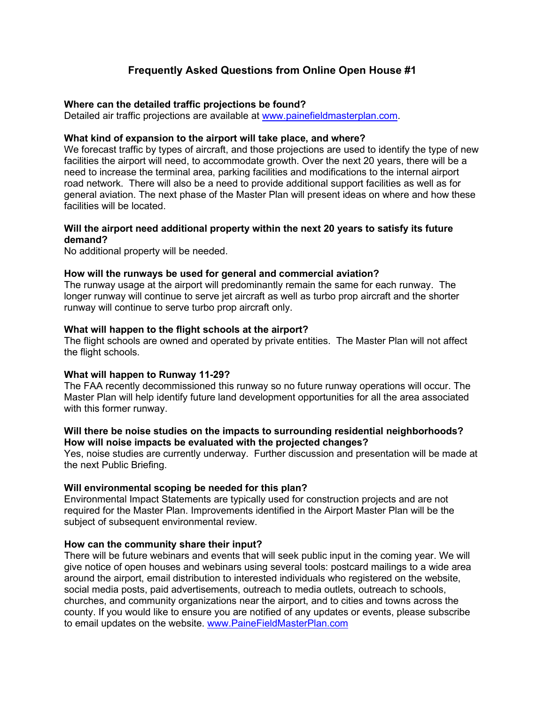# **Frequently Asked Questions from Online Open House #1**

#### **Where can the detailed traffic projections be found?**

Detailed air traffic projections are available at [www.painefieldmasterplan.com.](http://www.painefieldmasterplan.com/)

### **What kind of expansion to the airport will take place, and where?**

We forecast traffic by types of aircraft, and those projections are used to identify the type of new facilities the airport will need, to accommodate growth. Over the next 20 years, there will be a need to increase the terminal area, parking facilities and modifications to the internal airport road network. There will also be a need to provide additional support facilities as well as for general aviation. The next phase of the Master Plan will present ideas on where and how these facilities will be located.

# **Will the airport need additional property within the next 20 years to satisfy its future demand?**

No additional property will be needed.

### **How will the runways be used for general and commercial aviation?**

The runway usage at the airport will predominantly remain the same for each runway. The longer runway will continue to serve jet aircraft as well as turbo prop aircraft and the shorter runway will continue to serve turbo prop aircraft only.

### **What will happen to the flight schools at the airport?**

The flight schools are owned and operated by private entities. The Master Plan will not affect the flight schools.

# **What will happen to Runway 11-29?**

The FAA recently decommissioned this runway so no future runway operations will occur. The Master Plan will help identify future land development opportunities for all the area associated with this former runway.

### **Will there be noise studies on the impacts to surrounding residential neighborhoods? How will noise impacts be evaluated with the projected changes?**

Yes, noise studies are currently underway. Further discussion and presentation will be made at the next Public Briefing.

# **Will environmental scoping be needed for this plan?**

Environmental Impact Statements are typically used for construction projects and are not required for the Master Plan. Improvements identified in the Airport Master Plan will be the subject of subsequent environmental review.

#### **How can the community share their input?**

There will be future webinars and events that will seek public input in the coming year. We will give notice of open houses and webinars using several tools: postcard mailings to a wide area around the airport, email distribution to interested individuals who registered on the website, social media posts, paid advertisements, outreach to media outlets, outreach to schools, churches, and community organizations near the airport, and to cities and towns across the county. If you would like to ensure you are notified of any updates or events, please subscribe to email updates on the website. [www.PaineFieldMasterPlan.com](http://www.painefieldmasterplan.com/)